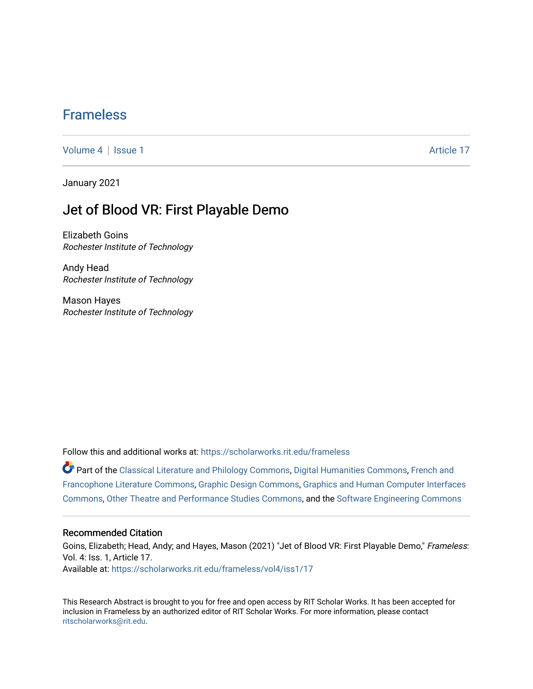## [Frameless](https://scholarworks.rit.edu/frameless)

[Volume 4](https://scholarworks.rit.edu/frameless/vol4) | [Issue 1](https://scholarworks.rit.edu/frameless/vol4/iss1) Article 17

January 2021

## Jet of Blood VR: First Playable Demo

Elizabeth Goins Rochester Institute of Technology

Andy Head Rochester Institute of Technology

Mason Hayes Rochester Institute of Technology

Follow this and additional works at: [https://scholarworks.rit.edu/frameless](https://scholarworks.rit.edu/frameless?utm_source=scholarworks.rit.edu%2Fframeless%2Fvol4%2Fiss1%2F17&utm_medium=PDF&utm_campaign=PDFCoverPages)

Part of the [Classical Literature and Philology Commons](https://network.bepress.com/hgg/discipline/451?utm_source=scholarworks.rit.edu%2Fframeless%2Fvol4%2Fiss1%2F17&utm_medium=PDF&utm_campaign=PDFCoverPages), [Digital Humanities Commons,](https://network.bepress.com/hgg/discipline/1286?utm_source=scholarworks.rit.edu%2Fframeless%2Fvol4%2Fiss1%2F17&utm_medium=PDF&utm_campaign=PDFCoverPages) [French and](https://network.bepress.com/hgg/discipline/465?utm_source=scholarworks.rit.edu%2Fframeless%2Fvol4%2Fiss1%2F17&utm_medium=PDF&utm_campaign=PDFCoverPages)  [Francophone Literature Commons,](https://network.bepress.com/hgg/discipline/465?utm_source=scholarworks.rit.edu%2Fframeless%2Fvol4%2Fiss1%2F17&utm_medium=PDF&utm_campaign=PDFCoverPages) [Graphic Design Commons,](https://network.bepress.com/hgg/discipline/1134?utm_source=scholarworks.rit.edu%2Fframeless%2Fvol4%2Fiss1%2F17&utm_medium=PDF&utm_campaign=PDFCoverPages) [Graphics and Human Computer Interfaces](https://network.bepress.com/hgg/discipline/146?utm_source=scholarworks.rit.edu%2Fframeless%2Fvol4%2Fiss1%2F17&utm_medium=PDF&utm_campaign=PDFCoverPages) [Commons](https://network.bepress.com/hgg/discipline/146?utm_source=scholarworks.rit.edu%2Fframeless%2Fvol4%2Fiss1%2F17&utm_medium=PDF&utm_campaign=PDFCoverPages), [Other Theatre and Performance Studies Commons](https://network.bepress.com/hgg/discipline/558?utm_source=scholarworks.rit.edu%2Fframeless%2Fvol4%2Fiss1%2F17&utm_medium=PDF&utm_campaign=PDFCoverPages), and the [Software Engineering Commons](https://network.bepress.com/hgg/discipline/150?utm_source=scholarworks.rit.edu%2Fframeless%2Fvol4%2Fiss1%2F17&utm_medium=PDF&utm_campaign=PDFCoverPages)

## Recommended Citation

Goins, Elizabeth; Head, Andy; and Hayes, Mason (2021) "Jet of Blood VR: First Playable Demo," Frameless: Vol. 4: Iss. 1, Article 17. Available at: [https://scholarworks.rit.edu/frameless/vol4/iss1/17](https://scholarworks.rit.edu/frameless/vol4/iss1/17?utm_source=scholarworks.rit.edu%2Fframeless%2Fvol4%2Fiss1%2F17&utm_medium=PDF&utm_campaign=PDFCoverPages) 

This Research Abstract is brought to you for free and open access by RIT Scholar Works. It has been accepted for inclusion in Frameless by an authorized editor of RIT Scholar Works. For more information, please contact [ritscholarworks@rit.edu](mailto:ritscholarworks@rit.edu).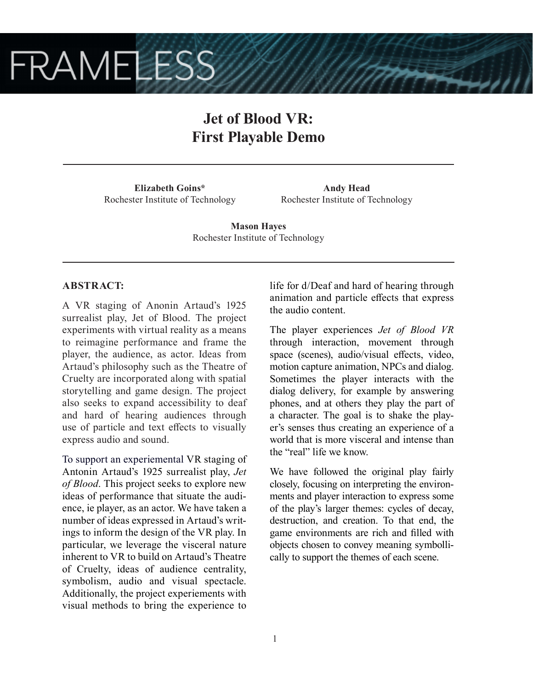# **FRAMELESS**

# **Jet of Blood VR: First Playable Demo**

**Elizabeth Goins\*** Rochester Institute of Technology

**Andy Head** Rochester Institute of Technology

**Mason Hayes** Rochester Institute of Technology

## **ABSTRACT:**

A VR staging of Anonin Artaud's 1925 surrealist play, Jet of Blood. The project experiments with virtual reality as a means to reimagine performance and frame the player, the audience, as actor. Ideas from Artaud's philosophy such as the Theatre of Cruelty are incorporated along with spatial storytelling and game design. The project also seeks to expand accessibility to deaf and hard of hearing audiences through use of particle and text effects to visually express audio and sound.

To support an experiemental VR staging of Antonin Artaud's 1925 surrealist play, *Jet of Blood*. This project seeks to explore new ideas of performance that situate the audience, ie player, as an actor. We have taken a number of ideas expressed in Artaud's writings to inform the design of the VR play. In particular, we leverage the visceral nature inherent to VR to build on Artaud's Theatre of Cruelty, ideas of audience centrality, symbolism, audio and visual spectacle. Additionally, the project experiements with visual methods to bring the experience to life for d/Deaf and hard of hearing through animation and particle effects that express the audio content.

The player experiences *Jet of Blood VR*  through interaction, movement through space (scenes), audio/visual effects, video, motion capture animation, NPCs and dialog. Sometimes the player interacts with the dialog delivery, for example by answering phones, and at others they play the part of a character. The goal is to shake the player's senses thus creating an experience of a world that is more visceral and intense than the "real" life we know.

We have followed the original play fairly closely, focusing on interpreting the environments and player interaction to express some of the play's larger themes: cycles of decay, destruction, and creation. To that end, the game environments are rich and filled with objects chosen to convey meaning symbollically to support the themes of each scene.